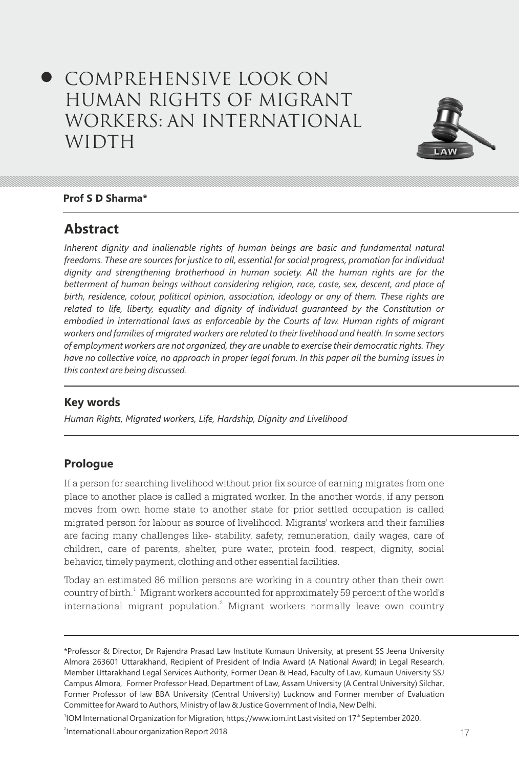# Comprehensive Look on Human Rights of Migrant Workers: An International WIDTH



#### **Prof S D Sharma\***

## **Abstract**

*Inherent dignity and inalienable rights of human beings are basic and fundamental natural freedoms. These are sources for justice to all, essential for social progress, promotion for individual dignity and strengthening brotherhood in human society. All the human rights are for the betterment of human beings without considering religion, race, caste, sex, descent, and place of birth, residence, colour, political opinion, association, ideology or any of them. These rights are related to life, liberty, equality and dignity of individual guaranteed by the Constitution or embodied in international laws as enforceable by the Courts of law. Human rights of migrant workers and families of migrated workers are related to their livelihood and health. In some sectors of employment workers are not organized, they are unable to exercise their democratic rights. They have no collective voice, no approach in proper legal forum. In this paper all the burning issues in this context are being discussed.*

### **Key words**

*Human Rights, Migrated workers, Life, Hardship, Dignity and Livelihood*

## **Prologue**

If a person for searching livelihood without prior fix source of earning migrates from one place to another place is called a migrated worker. In the another words, if any person moves from own home state to another state for prior settled occupation is called migrated person for labour as source of livelihood. Migrants' workers and their families are facing many challenges like- stability, safety, remuneration, daily wages, care of children, care of parents, shelter, pure water, protein food, respect, dignity, social behavior, timely payment, clothing and other essential facilities.

Today an estimated 86 million persons are working in a country other than their own country of birth.<sup>1</sup> Migrant workers accounted for approximately 59 percent of the world's international migrant population. $^{2}$  Migrant workers normally leave own country

<sup>1</sup>IOM International Organization for Migration, https://www.iom.int Last visited on  $17<sup>th</sup>$  September 2020.

<sup>\*</sup>Professor & Director, Dr Rajendra Prasad Law Institute Kumaun University, at present SS Jeena University Almora 263601 Uttarakhand, Recipient of President of India Award (A National Award) in Legal Research, Member Uttarakhand Legal Services Authority, Former Dean & Head, Faculty of Law, Kumaun University SSJ Campus Almora, Former Professor Head, Department of Law, Assam University (A Central University) Silchar, Former Professor of law BBA University (Central University) Lucknow and Former member of Evaluation Committee for Award to Authors, Ministry of law & Justice Government of India, New Delhi.

<sup>16</sup> 17 2 International Labour organization Report 2018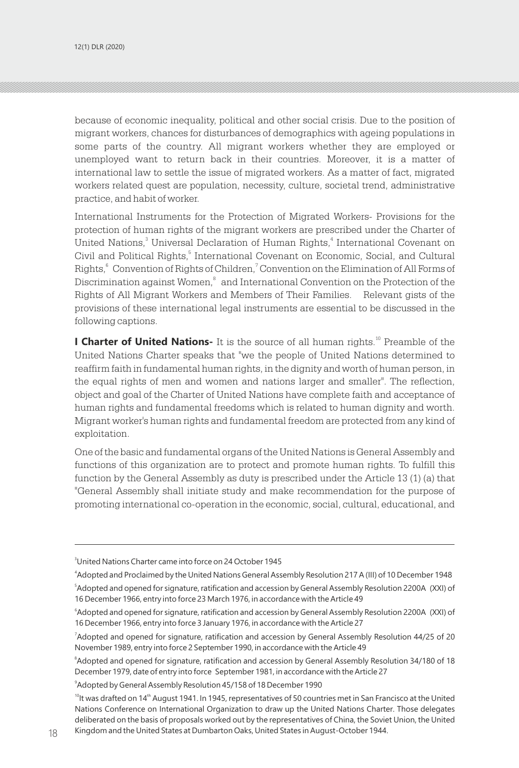because of economic inequality, political and other social crisis. Due to the position of migrant workers, chances for disturbances of demographics with ageing populations in some parts of the country. All migrant workers whether they are employed or unemployed want to return back in their countries. Moreover, it is a matter of international law to settle the issue of migrated workers. As a matter of fact, migrated workers related quest are population, necessity, culture, societal trend, administrative practice, and habit of worker.

International Instruments for the Protection of Migrated Workers- Provisions for the protection of human rights of the migrant workers are prescribed under the Charter of United Nations, $\degree$  Universal Declaration of Human Rights, $\degree$  International Covenant on Civil and Political Rights,<sup>5</sup> International Covenant on Economic, Social, and Cultural Rights, Convention of Rights of Children, Convention on the Elimination of All Forms of Discrimination against Women,<sup>8</sup> and International Convention on the Protection of the Rights of All Migrant Workers and Members of Their Families. Relevant gists of the provisions of these international legal instruments are essential to be discussed in the following captions.

**I Charter of United Nations-** It is the source of all human rights.<sup>10</sup> Preamble of the United Nations Charter speaks that "we the people of United Nations determined to reaffirm faith in fundamental human rights, in the dignity and worth of human person, in the equal rights of men and women and nations larger and smaller". The reflection, object and goal of the Charter of United Nations have complete faith and acceptance of human rights and fundamental freedoms which is related to human dignity and worth. Migrant worker's human rights and fundamental freedom are protected from any kind of exploitation.

One of the basic and fundamental organs of the United Nations is General Assembly and functions of this organization are to protect and promote human rights. To fulfill this function by the General Assembly as duty is prescribed under the Article 13 (1) (a) that "General Assembly shall initiate study and make recommendation for the purpose of promoting international co-operation in the economic, social, cultural, educational, and

9 Adopted by General Assembly Resolution 45/158 of 18 December 1990

<sup>3</sup>United Nations Charter came into force on 24 October 1945

<sup>4</sup> Adopted and Proclaimed by the United Nations General Assembly Resolution 217 A (III) of 10 December 1948

<sup>5</sup> Adopted and opened for signature, ratification and accession by General Assembly Resolution 2200A (XXI) of 16 December 1966, entry into force 23 March 1976, in accordance with the Article 49

<sup>6</sup> Adopted and opened for signature, ratification and accession by General Assembly Resolution 2200A (XXI) of 16 December 1966, entry into force 3 January 1976, in accordance with the Article 27

<sup>7</sup> Adopted and opened for signature, ratification and accession by General Assembly Resolution 44/25 of 20 November 1989, entry into force 2 September 1990, in accordance with the Article 49

<sup>8</sup> Adopted and opened for signature, ratification and accession by General Assembly Resolution 34/180 of 18 December 1979, date of entry into force September 1981, in accordance with the Article 27

<sup>18</sup> Kingdom and the United States at Dumbarton Oaks, United States in August-October 1944.  $10$ It was drafted on 14<sup>th</sup> August 1941. In 1945, representatives of 50 countries met in San Francisco at the United Nations Conference on International Organization to draw up the United Nations Charter. Those delegates deliberated on the basis of proposals worked out by the representatives of China, the Soviet Union, the United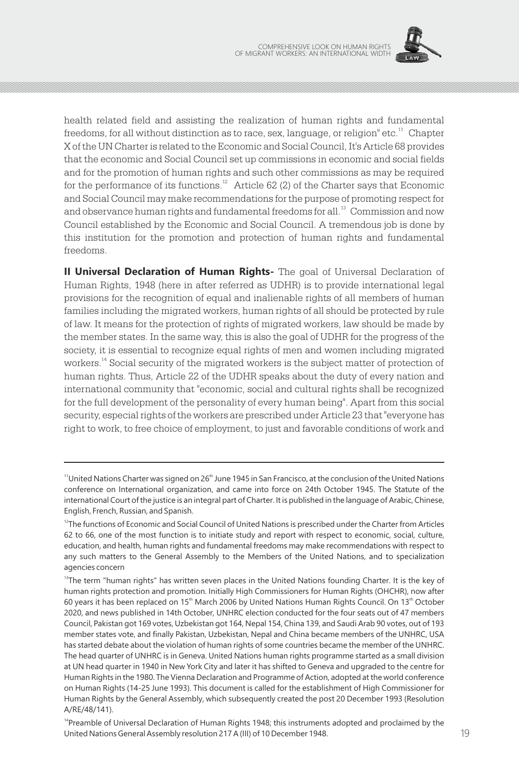

health related field and assisting the realization of human rights and fundamental freedoms, for all without distinction as to race, sex, language, or religion" etc.<sup>11</sup> Chapter X of the UN Charter is related to the Economic and Social Council, It's Article 68 provides that the economic and Social Council set up commissions in economic and social fields and for the promotion of human rights and such other commissions as may be required for the performance of its functions.<sup>12</sup> Article 62 (2) of the Charter says that Economic and Social Council may make recommendations for the purpose of promoting respect for and observance human rights and fundamental freedoms for all. $^{\rm 13}$  Commission and now Council established by the Economic and Social Council. A tremendous job is done by this institution for the promotion and protection of human rights and fundamental freedoms.

**II Universal Declaration of Human Rights-** The goal of Universal Declaration of Human Rights, 1948 (here in after referred as UDHR) is to provide international legal provisions for the recognition of equal and inalienable rights of all members of human families including the migrated workers, human rights of all should be protected by rule of law. It means for the protection of rights of migrated workers, law should be made by the member states. In the same way, this is also the goal of UDHR for the progress of the society, it is essential to recognize equal rights of men and women including migrated workers.<sup>14</sup> Social security of the migrated workers is the subject matter of protection of human rights. Thus, Article 22 of the UDHR speaks about the duty of every nation and international community that "economic, social and cultural rights shall be recognized for the full development of the personality of every human being". Apart from this social security, especial rights of the workers are prescribed under Article 23 that "everyone has right to work, to free choice of employment, to just and favorable conditions of work and

 $11$ United Nations Charter was signed on 26<sup>th</sup> June 1945 in San Francisco, at the conclusion of the United Nations conference on International organization, and came into force on 24th October 1945. The Statute of the international Court of the justice is an integral part of Charter. It is published in the language of Arabic, Chinese, English, French, Russian, and Spanish.

<sup>&</sup>lt;sup>12</sup>The functions of Economic and Social Council of United Nations is prescribed under the Charter from Articles 62 to 66, one of the most function is to initiate study and report with respect to economic, social, culture, education, and health, human rights and fundamental freedoms may make recommendations with respect to any such matters to the General Assembly to the Members of the United Nations, and to specialization agencies concern

<sup>&</sup>lt;sup>13</sup>The term "human rights" has written seven places in the United Nations founding Charter. It is the key of human rights protection and promotion. Initially High Commissioners for Human Rights (OHCHR), now after 60 years it has been replaced on 15<sup>th</sup> March 2006 by United Nations Human Rights Council. On 13<sup>th</sup> October 2020, and news published in 14th October, UNHRC election conducted for the four seats out of 47 members Council, Pakistan got 169 votes, Uzbekistan got 164, Nepal 154, China 139, and Saudi Arab 90 votes, out of 193 member states vote, and finally Pakistan, Uzbekistan, Nepal and China became members of the UNHRC, USA has started debate about the violation of human rights of some countries became the member of the UNHRC. The head quarter of UNHRC is in Geneva. United Nations human rights programme started as a small division at UN head quarter in 1940 in New York City and later it has shifted to Geneva and upgraded to the centre for Human Rights in the 1980. The Vienna Declaration and Programme of Action, adopted at the world conference on Human Rights (14-25 June 1993). This document is called for the establishment of High Commissioner for Human Rights by the General Assembly, which subsequently created the post 20 December 1993 (Resolution A/RE/48/141).

<sup>18</sup> 19 United Nations General Assembly resolution 217 A (III) of 10 December 1948. <sup>14</sup>Preamble of Universal Declaration of Human Rights 1948; this instruments adopted and proclaimed by the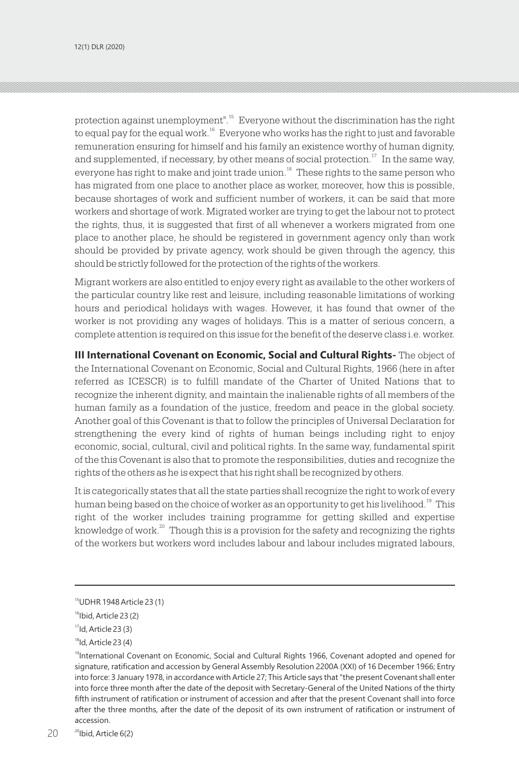protection against unemployment".<sup>15</sup> Everyone without the discrimination has the right to equal pay for the equal work. $16$  Everyone who works has the right to just and favorable remuneration ensuring for himself and his family an existence worthy of human dignity, and supplemented, if necessary, by other means of social protection.<sup>17</sup> In the same way, everyone has right to make and joint trade union.<sup>18</sup> These rights to the same person who has migrated from one place to another place as worker, moreover, how this is possible, because shortages of work and sufficient number of workers, it can be said that more workers and shortage of work. Migrated worker are trying to get the labour not to protect the rights, thus, it is suggested that first of all whenever a workers migrated from one place to another place, he should be registered in government agency only than work should be provided by private agency, work should be given through the agency, this should be strictly followed for the protection of the rights of the workers.

Migrant workers are also entitled to enjoy every right as available to the other workers of the particular country like rest and leisure, including reasonable limitations of working hours and periodical holidays with wages. However, it has found that owner of the worker is not providing any wages of holidays. This is a matter of serious concern, a complete attention is required on this issue for the benefit of the deserve class i.e. worker.

**III International Covenant on Economic, Social and Cultural Rights-** The object of the International Covenant on Economic, Social and Cultural Rights, 1966 (here in after referred as ICESCR) is to fulfill mandate of the Charter of United Nations that to recognize the inherent dignity, and maintain the inalienable rights of all members of the human family as a foundation of the justice, freedom and peace in the global society. Another goal of this Covenant is that to follow the principles of Universal Declaration for strengthening the every kind of rights of human beings including right to enjoy economic, social, cultural, civil and political rights. In the same way, fundamental spirit of the this Covenant is also that to promote the responsibilities, duties and recognize the rights of the others as he is expect that his right shall be recognized by others.

It is categorically states that all the state parties shall recognize the right to work of every human being based on the choice of worker as an opportunity to get his livelihood.<sup>19</sup> This right of the worker includes training programme for getting skilled and expertise knowledge of work. $20$  Though this is a provision for the safety and recognizing the rights of the workers but workers word includes labour and labour includes migrated labours,

<sup>15</sup>UDHR 1948 Article 23 (1)

<sup>&</sup>lt;sup>16</sup>Ibid, Article 23 (2)

 $17$ Id, Article 23 $(3)$ 

 $18$ Id, Article 23 $(4)$ 

<sup>&</sup>lt;sup>19</sup>International Covenant on Economic, Social and Cultural Rights 1966, Covenant adopted and opened for signature, ratification and accession by General Assembly Resolution 2200A (XXI) of 16 December 1966; Entry into force: 3 January 1978, in accordance with Article 27; This Article says that "the present Covenant shall enter into force three month after the date of the deposit with Secretary-General of the United Nations of the thirty fifth instrument of ratification or instrument of accession and after that the present Covenant shall into force after the three months, after the date of the deposit of its own instrument of ratification or instrument of accession.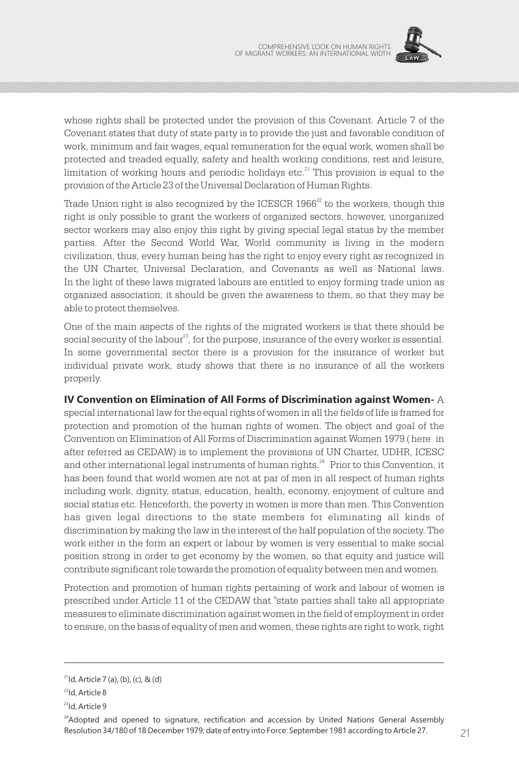

whose rights shall be protected under the provision of this Covenant. Article 7 of the Covenant states that duty of state party is to provide the just and favorable condition of work, minimum and fair wages, equal remuneration for the equal work, women shall be protected and treaded equally, safety and health working conditions, rest and leisure, limitation of working hours and periodic holidays etc. $^{21}$  This provision is equal to the provision of the Article 23 of the Universal Declaration of Human Rights.

Trade Union right is also recognized by the ICESCR  $1966<sup>22</sup>$  to the workers, though this right is only possible to grant the workers of organized sectors, however, unorganized sector workers may also enjoy this right by giving special legal status by the member parties. After the Second World War, World community is living in the modern civilization, thus, every human being has the right to enjoy every right as recognized in the UN Charter, Universal Declaration, and Covenants as well as National laws. In the light of these laws migrated labours are entitled to enjoy forming trade union as organized association; it should be given the awareness to them, so that they may be able to protect themselves.

One of the main aspects of the rights of the migrated workers is that there should be social security of the labour<sup>23</sup>, for the purpose, insurance of the every worker is essential. In some governmental sector there is a provision for the insurance of worker but individual private work, study shows that there is no insurance of all the workers properly.

**IV Convention on Elimination of All Forms of Discrimination against Women-** A special international law for the equal rights of women in all the fields of life is framed for protection and promotion of the human rights of women. The object and goal of the Convention on Elimination of All Forms of Discrimination against Women 1979 ( here in after referred as CEDAW) is to implement the provisions of UN Charter, UDHR, ICESC and other international legal instruments of human rights. $^{24}$  Prior to this Convention, it has been found that world women are not at par of men in all respect of human rights including work, dignity, status, education, health, economy, enjoyment of culture and social status etc. Henceforth, the poverty in women is more than men. This Convention has given legal directions to the state members for eliminating all kinds of discrimination by making the law in the interest of the half population of the society. The work either in the form an expert or labour by women is very essential to make social position strong in order to get economy by the women, so that equity and justice will contribute significant role towards the promotion of equality between men and women.

Protection and promotion of human rights pertaining of work and labour of women is prescribed under Article 11 of the CEDAW that "state parties shall take all appropriate measures to eliminate discrimination against women in the field of employment in order to ensure, on the basis of equality of men and women, these rights are right to work, right

 $2^{21}$ Id, Article 7 (a), (b), (c), & (d)

 $^{22}$ Id, Article 8

<sup>&</sup>lt;sup>23</sup>Id, Article 9

<sup>20</sup> 21 Resolution 34/180 of 18 December 1979; date of entry into Force: September 1981 according to Article 27. <sup>24</sup>Adopted and opened to signature, rectification and accession by United Nations General Assembly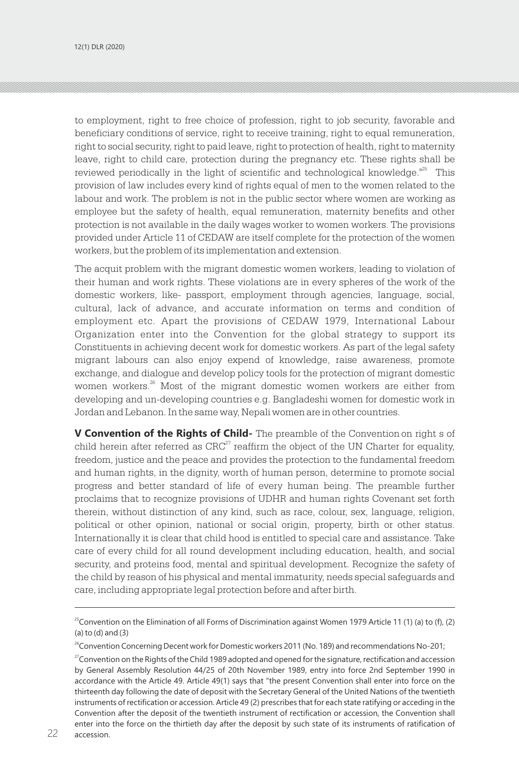to employment, right to free choice of profession, right to job security, favorable and beneficiary conditions of service, right to receive training, right to equal remuneration, right to social security, right to paid leave, right to protection of health, right to maternity leave, right to child care, protection during the pregnancy etc. These rights shall be reviewed periodically in the light of scientific and technological knowledge.<sup>125</sup> This provision of law includes every kind of rights equal of men to the women related to the labour and work. The problem is not in the public sector where women are working as employee but the safety of health, equal remuneration, maternity benefits and other protection is not available in the daily wages worker to women workers. The provisions provided under Article 11 of CEDAW are itself complete for the protection of the women workers, but the problem of its implementation and extension.

The acquit problem with the migrant domestic women workers, leading to violation of their human and work rights. These violations are in every spheres of the work of the domestic workers, like- passport, employment through agencies, language, social, cultural, lack of advance, and accurate information on terms and condition of employment etc. Apart the provisions of CEDAW 1979, International Labour Organization enter into the Convention for the global strategy to support its Constituents in achieving decent work for domestic workers. As part of the legal safety migrant labours can also enjoy expend of knowledge, raise awareness, promote exchange, and dialogue and develop policy tools for the protection of migrant domestic women workers. $^{26}$  Most of the migrant domestic women workers are either from developing and un-developing countries e.g. Bangladeshi women for domestic work in Jordan and Lebanon. In the same way, Nepali women are in other countries.

**V Convention of the Rights of Child-** The preamble of the Convention on right s of child herein after referred as  $CRC<sup>27</sup>$  reaffirm the object of the UN Charter for equality. freedom, justice and the peace and provides the protection to the fundamental freedom and human rights, in the dignity, worth of human person, determine to promote social progress and better standard of life of every human being. The preamble further proclaims that to recognize provisions of UDHR and human rights Covenant set forth therein, without distinction of any kind, such as race, colour, sex, language, religion, political or other opinion, national or social origin, property, birth or other status. Internationally it is clear that child hood is entitled to special care and assistance. Take care of every child for all round development including education, health, and social security, and proteins food, mental and spiritual development. Recognize the safety of the child by reason of his physical and mental immaturity, needs special safeguards and care, including appropriate legal protection before and after birth.

<sup>&</sup>lt;sup>25</sup>Convention on the Elimination of all Forms of Discrimination against Women 1979 Article 11 (1) (a) to (f), (2) (a) to (d) and (3)

<sup>&</sup>lt;sup>26</sup>Convention Concerning Decent work for Domestic workers 2011 (No. 189) and recommendations No-201;

 $^{27}$ Convention on the Rights of the Child 1989 adopted and opened for the signature, rectification and accession by General Assembly Resolution 44/25 of 20th November 1989, entry into force 2nd September 1990 in accordance with the Article 49. Article 49(1) says that "the present Convention shall enter into force on the thirteenth day following the date of deposit with the Secretary General of the United Nations of the twentieth instruments of rectification or accession. Article 49 (2) prescribes that for each state ratifying or acceding in the Convention after the deposit of the twentieth instrument of rectification or accession, the Convention shall enter into the force on the thirtieth day after the deposit by such state of its instruments of ratification of accession. 31. In the west of the company of the west the expected continuous of the measurement of the measurement of  $\alpha$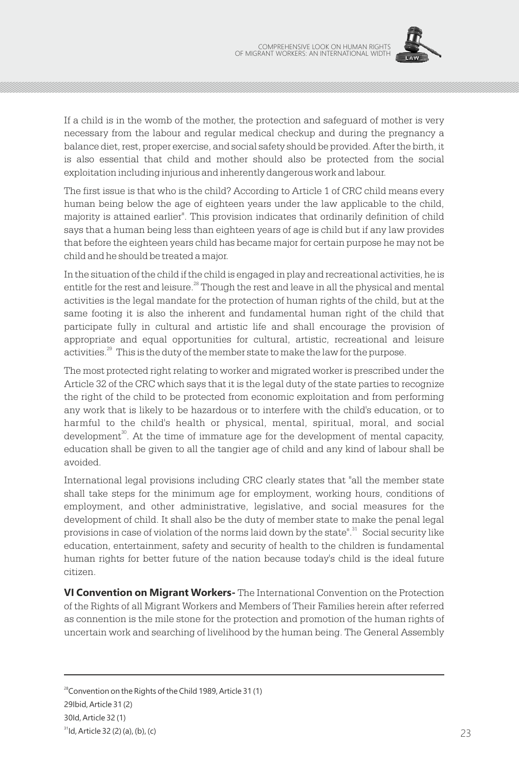

If a child is in the womb of the mother, the protection and safeguard of mother is very necessary from the labour and regular medical checkup and during the pregnancy a balance diet, rest, proper exercise, and social safety should be provided. After the birth, it is also essential that child and mother should also be protected from the social exploitation including injurious and inherently dangerous work and labour.

The first issue is that who is the child? According to Article 1 of CRC child means every human being below the age of eighteen years under the law applicable to the child, majority is attained earlier". This provision indicates that ordinarily definition of child says that a human being less than eighteen years of age is child but if any law provides that before the eighteen years child has became major for certain purpose he may not be child and he should be treated a major.

In the situation of the child if the child is engaged in play and recreational activities, he is entitle for the rest and leisure.<sup>28</sup> Though the rest and leave in all the physical and mental activities is the legal mandate for the protection of human rights of the child, but at the same footing it is also the inherent and fundamental human right of the child that participate fully in cultural and artistic life and shall encourage the provision of appropriate and equal opportunities for cultural, artistic, recreational and leisure activities.<sup>29</sup> This is the duty of the member state to make the law for the purpose.

The most protected right relating to worker and migrated worker is prescribed under the Article 32 of the CRC which says that it is the legal duty of the state parties to recognize the right of the child to be protected from economic exploitation and from performing any work that is likely to be hazardous or to interfere with the child's education, or to harmful to the child's health or physical, mental, spiritual, moral, and social development $^3$ . At the time of immature age for the development of mental capacity, education shall be given to all the tangier age of child and any kind of labour shall be avoided.

International legal provisions including CRC clearly states that "all the member state shall take steps for the minimum age for employment, working hours, conditions of employment, and other administrative, legislative, and social measures for the development of child. It shall also be the duty of member state to make the penal legal provisions in case of violation of the norms laid down by the state".<sup>31</sup> Social security like education, entertainment, safety and security of health to the children is fundamental human rights for better future of the nation because today's child is the ideal future citizen.

**VI Convention on Migrant Workers-** The International Convention on the Protection of the Rights of all Migrant Workers and Members of Their Families herein after referred as connention is the mile stone for the protection and promotion of the human rights of uncertain work and searching of livelihood by the human being. The General Assembly

<sup>28</sup>Convention on the Rights of the Child 1989, Article 31 (1) 29Ibid, Article 31 (2)

30Id, Article 32 (1)

 $31$ d, Article 32 (2) (a), (b), (c) 23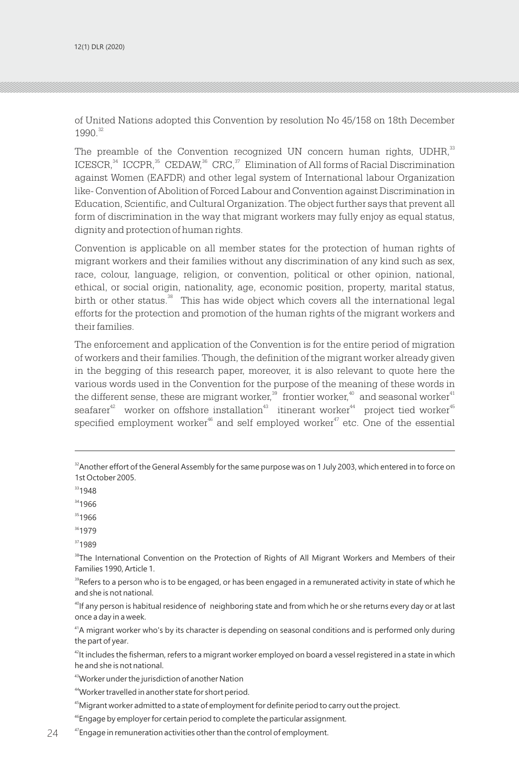of United Nations adopted this Convention by resolution No 45/158 on 18th December 1990. 32

The preamble of the Convention recognized UN concern human rights, UDHR,<sup>33</sup>  $ICESCR<sup>34</sup> ICCPR<sup>35</sup> CEDAW<sup>36</sup> CRC<sup>37</sup> Elimination of All forms of Racial Discrimination$ against Women (EAFDR) and other legal system of International labour Organization like- Convention of Abolition of Forced Labour and Convention against Discrimination in Education, Scientific, and Cultural Organization. The object further says that prevent all form of discrimination in the way that migrant workers may fully enjoy as equal status, dignity and protection of human rights.

Convention is applicable on all member states for the protection of human rights of migrant workers and their families without any discrimination of any kind such as sex, race, colour, language, religion, or convention, political or other opinion, national, ethical, or social origin, nationality, age, economic position, property, marital status, birth or other status.<sup>38</sup> This has wide object which covers all the international legal efforts for the protection and promotion of the human rights of the migrant workers and their families.

The enforcement and application of the Convention is for the entire period of migration of workers and their families. Though, the definition of the migrant worker already given in the begging of this research paper, moreover, it is also relevant to quote here the various words used in the Convention for the purpose of the meaning of these words in the different sense, these are migrant worker, $^{\scriptscriptstyle{39}}$  frontier worker, $^{\scriptscriptstyle{40}}$  and seasonal worker $^{\scriptscriptstyle{41}}$ seafarer<sup>42</sup> worker on offshore installation<sup>43</sup> itinerant worker<sup>44</sup> project tied worker<sup>45</sup> specified employment worker<sup> $46$ </sup> and self employed worker $47$  etc. One of the essential

- <sup>33</sup>1948
- 34<sub>1966</sub>
- $351966$
- <sup>36</sup>1979
- <sup>37</sup>1989

<sup>38</sup>The International Convention on the Protection of Rights of All Migrant Workers and Members of their Families 1990, Article 1.

 $39$ Refers to a person who is to be engaged, or has been engaged in a remunerated activity in state of which he and she is not national.

<sup>40</sup>If any person is habitual residence of neighboring state and from which he or she returns every day or at last once a day in a week.

<sup>41</sup>A migrant worker who's by its character is depending on seasonal conditions and is performed only during the part of year.

<sup>42</sup>It includes the fisherman, refers to a migrant worker employed on board a vessel registered in a state in which he and she is not national.

<sup>43</sup>Worker under the jurisdiction of another Nation

<sup>44</sup>Worker travelled in another state for short period.

<sup>45</sup>Migrant worker admitted to a state of employment for definite period to carry out the project.

<sup>46</sup>Engage by employer for certain period to complete the particular assignment.

 $24$   $\hskip 1.6cm$   $\hskip 4mm$   $\hskip 4mm$   $\hskip 4mm$   $\hskip 4mm$   $\hskip 4mm$   $\hskip 4mm$   $\hskip 4mm$   $\hskip 4mm$   $\hskip 4mm$   $\hskip 4mm$   $\hskip 4mm$   $\hskip 4mm$   $\hskip 4mm$   $\hskip 4mm$   $\hskip 4mm$   $\hskip 4mm$   $\hskip 4mm$   $\hskip 4mm$   $\hskip 4mm$   $\hskip 4mm$   $\hskip 4mm$   $\hskip 4mm$   $\hskip 4mm$ 

<sup>&</sup>lt;sup>32</sup>Another effort of the General Assembly for the same purpose was on 1 July 2003, which entered in to force on 1st October 2005.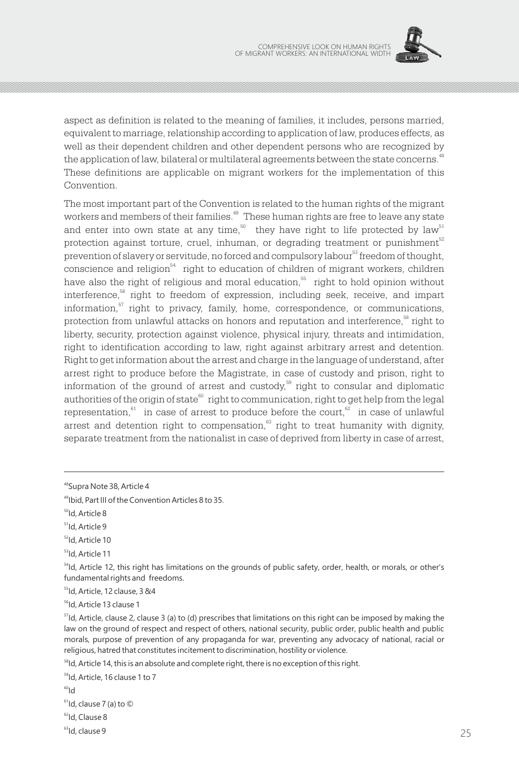

aspect as definition is related to the meaning of families, it includes, persons married, equivalent to marriage, relationship according to application of law, produces effects, as well as their dependent children and other dependent persons who are recognized by the application of law, bilateral or multilateral agreements between the state concerns. $^{48}$ These definitions are applicable on migrant workers for the implementation of this Convention.

The most important part of the Convention is related to the human rights of the migrant workers and members of their families.<sup>49</sup> These human rights are free to leave any state and enter into own state at any time, $5^{\circ}$  they have right to life protected by law  $5^{\circ}$ protection against torture, cruel, inhuman, or degrading treatment or punishment $^{\mathbb{52}}$ prevention of slavery or servitude, no forced and compulsory labour<sup>53</sup> freedom of thought, conscience and religion  $54$  right to education of children of migrant workers, children have also the right of religious and moral education, $55$  right to hold opinion without interference,  $56$  right to freedom of expression, including seek, receive, and impart information, $\frac{57}{7}$  right to privacy, family, home, correspondence, or communications, protection from unlawful attacks on honors and reputation and interference,  $\mathrm{^{88}}$  right to liberty, security, protection against violence, physical injury, threats and intimidation, right to identification according to law, right against arbitrary arrest and detention. Right to get information about the arrest and charge in the language of understand, after arrest right to produce before the Magistrate, in case of custody and prison, right to information of the ground of arrest and custody,<sup>59</sup> right to consular and diplomatic authorities of the origin of state $^{\circ\circ}$  right to communication, right to get help from the legal representation,<sup>61</sup> in case of arrest to produce before the court,<sup>62</sup> in case of unlawful arrest and detention right to compensation, $\mathbf{S}^3$  right to treat humanity with dignity, separate treatment from the nationalist in case of deprived from liberty in case of arrest,

<sup>55</sup>Id, Article, 12 clause, 3 &4

<sup>56</sup>Id, Article 13 clause 1

 $57$ Id, Article, clause 2, clause 3 (a) to (d) prescribes that limitations on this right can be imposed by making the law on the ground of respect and respect of others, national security, public order, public health and public morals, purpose of prevention of any propaganda for war, preventing any advocacy of national, racial or religious, hatred that constitutes incitement to discrimination, hostility or violence.

<sup>58</sup>Id, Article 14, this is an absolute and complete right, there is no exception of this right.

<sup>59</sup>Id, Article, 16 clause 1 to 7

 $h^{00}$ 

 $61$ Id, clause 7 (a) to  $\odot$ 

 $62$ Id, Clause 8

<sup>48</sup>Supra Note 38, Article 4

<sup>49</sup>Ibid, Part III of the Convention Articles 8 to 35.

 $50$ Id, Article 8

 $<sup>51</sup>$ Id, Article 9</sup>

<sup>52</sup>Id, Article 10

<sup>53</sup>Id, Article 11

<sup>&</sup>lt;sup>54</sup>Id, Article 12, this right has limitations on the grounds of public safety, order, health, or morals, or other's fundamental rights and freedoms.

 $63$ Id, clause 9  $^{25}$ ld, clause 9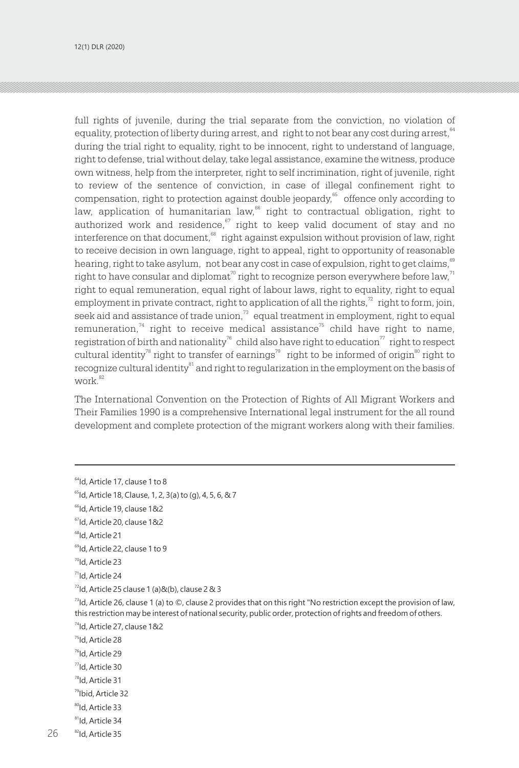full rights of juvenile, during the trial separate from the conviction, no violation of equality, protection of liberty during arrest, and right to not bear any cost during arrest,  $^{64}$ during the trial right to equality, right to be innocent, right to understand of language, right to defense, trial without delay, take legal assistance, examine the witness, produce own witness, help from the interpreter, right to self incrimination, right of juvenile, right to review of the sentence of conviction, in case of illegal confinement right to compensation, right to protection against double jeopardy, $\degree$  offence only according to law, application of humanitarian law, $^{66}$  right to contractual obligation, right to authorized work and residence, $\degree$  right to keep valid document of stay and no interference on that document, ${}^{68}$  right against expulsion without provision of law, right to receive decision in own language, right to appeal, right to opportunity of reasonable hearing, right to take asylum, not bear any cost in case of expulsion, right to get claims, $^\mathrm{69}$ right to have consular and diplomat $^{\text{\tiny{(7)}}}$ right to recognize person everywhere before law, $^{\text{\tiny{(7)}}}$ right to equal remuneration, equal right of labour laws, right to equality, right to equal employment in private contract, right to application of all the rights, $\frac{r}{r}$  right to form, join, seek aid and assistance of trade union, $^{\pi}$  equal treatment in employment, right to equal remuneration,<sup>74</sup> right to receive medical assistance<sup>75</sup> child have right to name, registration of birth and nationality<sup>76</sup> child also have right to education<sup>77</sup> right to respect cultural identity<sup>78</sup> right to transfer of earnings<sup>79</sup> right to be informed of origin<sup>80</sup> right to  $recognize$  cultural identity ${}^{81}$  and right to regularization in the employment on the basis of work.<sup>82</sup>

The International Convention on the Protection of Rights of All Migrant Workers and Their Families 1990 is a comprehensive International legal instrument for the all round development and complete protection of the migrant workers along with their families.

<sup>80</sup>Id, Article 33

<sup>64</sup>Id, Article 17, clause 1 to 8

<sup>65</sup>Id, Article 18, Clause, 1, 2, 3(a) to (g), 4, 5, 6, & 7

<sup>66</sup>Id, Article 19, clause 1&2

<sup>67</sup>Id, Article 20, clause 1&2

<sup>68</sup>Id, Article 21

<sup>&</sup>lt;sup>69</sup>Id, Article 22, clause 1 to 9

<sup>&</sup>lt;sup>70</sup>Id, Article 23

 $71$ Id, Article 24

 $72$ ld, Article 25 clause 1 (a)&(b), clause 2 & 3

<sup>74</sup>Id, Article 27, clause 1&2  $^{73}$ Id, Article 26, clause 1 (a) to  $\circledcirc$ , clause 2 provides that on this right "No restriction except the provision of law, this restriction may be interest of national security, public order, protection of rights and freedom of others.

<sup>75</sup>Id, Article 28

<sup>&</sup>lt;sup>76</sup>Id, Article 29

<sup>77</sup>Id, Article 30

<sup>78</sup>Id, Article 31

<sup>79</sup>Ibid, Article 32

<sup>&</sup>lt;sup>81</sup>Id, Article 34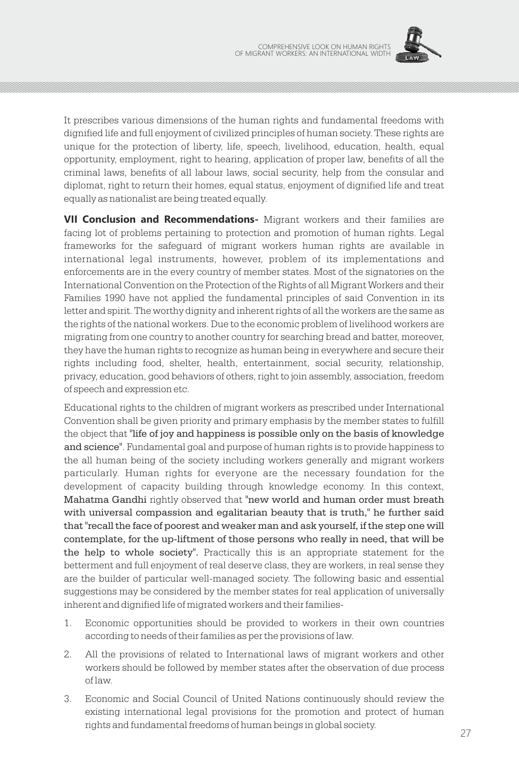

It prescribes various dimensions of the human rights and fundamental freedoms with dignified life and full enjoyment of civilized principles of human society. These rights are unique for the protection of liberty, life, speech, livelihood, education, health, equal opportunity, employment, right to hearing, application of proper law, benefits of all the criminal laws, benefits of all labour laws, social security, help from the consular and diplomat, right to return their homes, equal status, enjoyment of dignified life and treat equally as nationalist are being treated equally.

**VII Conclusion and Recommendations-** Migrant workers and their families are facing lot of problems pertaining to protection and promotion of human rights. Legal frameworks for the safeguard of migrant workers human rights are available in international legal instruments, however, problem of its implementations and enforcements are in the every country of member states. Most of the signatories on the International Convention on the Protection of the Rights of all Migrant Workers and their Families 1990 have not applied the fundamental principles of said Convention in its letter and spirit. The worthy dignity and inherent rights of all the workers are the same as the rights of the national workers. Due to the economic problem of livelihood workers are migrating from one country to another country for searching bread and batter, moreover, they have the human rights to recognize as human being in everywhere and secure their rights including food, shelter, health, entertainment, social security, relationship, privacy, education, good behaviors of others, right to join assembly, association, freedom of speech and expression etc.

Educational rights to the children of migrant workers as prescribed under International Convention shall be given priority and primary emphasis by the member states to fulfill the object that "life of joy and happiness is possible only on the basis of knowledge and science". Fundamental goal and purpose of human rights is to provide happiness to the all human being of the society including workers generally and migrant workers particularly. Human rights for everyone are the necessary foundation for the development of capacity building through knowledge economy. In this context, Mahatma Gandhi rightly observed that "new world and human order must breath with universal compassion and egalitarian beauty that is truth," he further said that "recall the face of poorest and weaker man and ask yourself, if the step one will contemplate, for the up-liftment of those persons who really in need, that will be the help to whole society". Practically this is an appropriate statement for the betterment and full enjoyment of real deserve class, they are workers, in real sense they are the builder of particular well-managed society. The following basic and essential suggestions may be considered by the member states for real application of universally inherent and dignified life of migrated workers and their families-

- 1. Economic opportunities should be provided to workers in their own countries according to needs of their families as per the provisions of law.
- 2. All the provisions of related to International laws of migrant workers and other workers should be followed by member states after the observation of due process of law.
- 3. Economic and Social Council of United Nations continuously should review the existing international legal provisions for the promotion and protect of human rights and fundamental freedoms of human beings in global society.  $\sim$  27  $\sim$  27  $\sim$  27  $\sim$  27  $\sim$  27  $\sim$  27  $\sim$  27  $\sim$  27  $\sim$  27  $\sim$  27  $\sim$  27  $\sim$  27  $\sim$  27  $\sim$  27  $\sim$  27  $\sim$  27  $\sim$  27  $\sim$  27  $\sim$  27  $\sim$  27  $\sim$  27  $\sim$  27  $\sim$  27  $\sim$  27  $\sim$  27  $\sim$  27  $\sim$  27  $\sim$